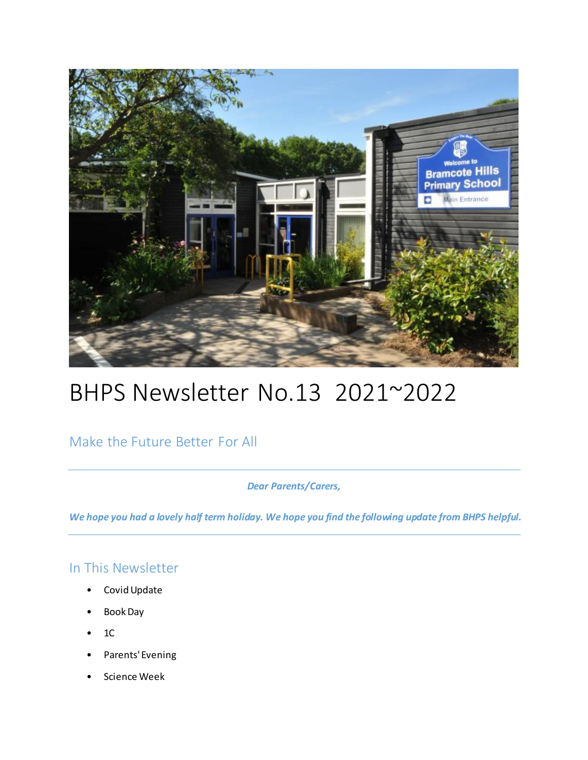

# BHPS Newsletter No.13 2021~2022

Make the Future Better For All

*Dear Parents/Carers,* 

*We hope you had a lovely half term holiday. We hope you find the following update from BHPS helpful.*

#### In This Newsletter

- Covid Update
- Book Day
- $1C$
- Parents' Evening
- Science Week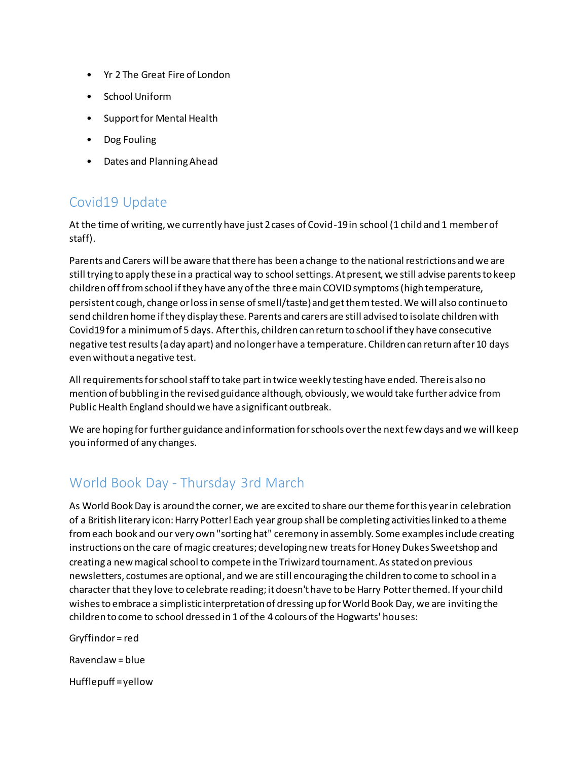- Yr 2 The Great Fire of London
- School Uniform
- Support for Mental Health
- Dog Fouling
- Dates and Planning Ahead

## Covid19 Update

At the time of writing, we currently have just 2 cases of Covid-19 in school (1 child and 1 member of staff).

Parents and Carers will be aware that there has been a change to the national restrictions and we are still trying to apply these in a practical way to school settings. At present, we still advise parents to keep children off from school if they have any of the three main COVID symptoms (high temperature, persistent cough, change or loss in sense of smell/taste) and get them tested. We will also continue to send children home if they display these. Parents and carers are still advised to isolate children with Covid19for a minimum of 5 days. After this, children can return to school if they have consecutive negative test results (a day apart) and no longer have a temperature. Children can return after 10 days even without a negative test.

All requirements for school staff to take part in twice weekly testing have ended. There is also no mention of bubbling in the revised guidance although, obviously, we would take further advice from Public Health England should we have a significant outbreak.

We are hoping for further guidance and information for schools over the next few days and we will keep you informed of any changes.

## World Book Day - Thursday 3rd March

As World Book Day is around the corner, we are excited to share our theme for this year in celebration of a British literary icon: Harry Potter! Each year group shall be completing activities linked to a theme from each book and our very own "sorting hat" ceremony in assembly. Some examples include creating instructions on the care of magic creatures; developing new treats for Honey Dukes Sweetshop and creating a new magical school to compete in the Triwizard tournament. As stated on previous newsletters, costumes are optional, and we are still encouraging the children to come to school in a character that they love to celebrate reading; it doesn't have to be Harry Potter themed. If your child wishes to embrace a simplistic interpretation of dressing up for World Book Day, we are inviting the children to come to school dressed in 1 of the 4 colours of the Hogwarts' houses:

Gryffindor = red Ravenclaw = blue Hufflepuff = yellow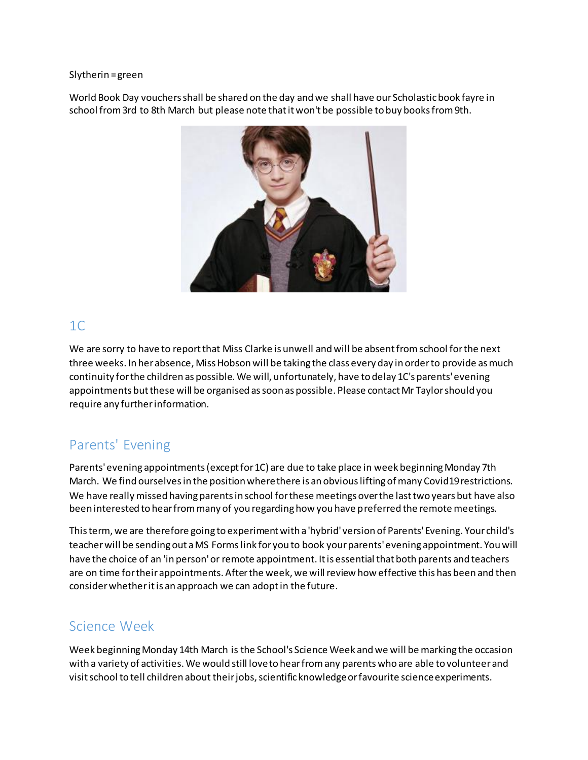#### Slytherin = green

World Book Day vouchers shall be shared on the day and we shall have our Scholastic book fayre in school from 3rd to 8th March but please note that it won't be possible to buy books from 9th.



#### $1<sub>C</sub>$

We are sorry to have to report that Miss Clarke is unwell and will be absent from school for the next three weeks. In her absence, Miss Hobson will be taking the class every day in order to provide as much continuity for the children as possible. We will, unfortunately, have to delay 1C's parents' evening appointments but these will be organised as soon as possible. Please contact Mr Taylor should you require any further information.

## Parents' Evening

Parents' evening appointments (except for 1C) are due to take place in week beginning Monday 7th March. We find ourselves in the position where there is an obvious lifting of many Covid19 restrictions. We have really missed having parents in school for these meetings over the last two years but have also been interested to hear from many of you regarding how you have preferred the remote meetings.

This term, we are therefore going to experiment with a 'hybrid' version of Parents' Evening. Your child's teacher will be sending out a MS Forms link for you to book your parents' evening appointment. You will have the choice of an 'in person' or remote appointment. It is essential that both parents and teachers are on time for their appointments. After the week, we will review how effective this has been and then consider whether it is an approach we can adopt in the future.

#### Science Week

Week beginning Monday 14th March is the School's Science Week and we will be marking the occasion with a variety of activities. We would still love to hear from any parents who are able to volunteer and visit school to tell children about their jobs, scientific knowledge or favourite science experiments.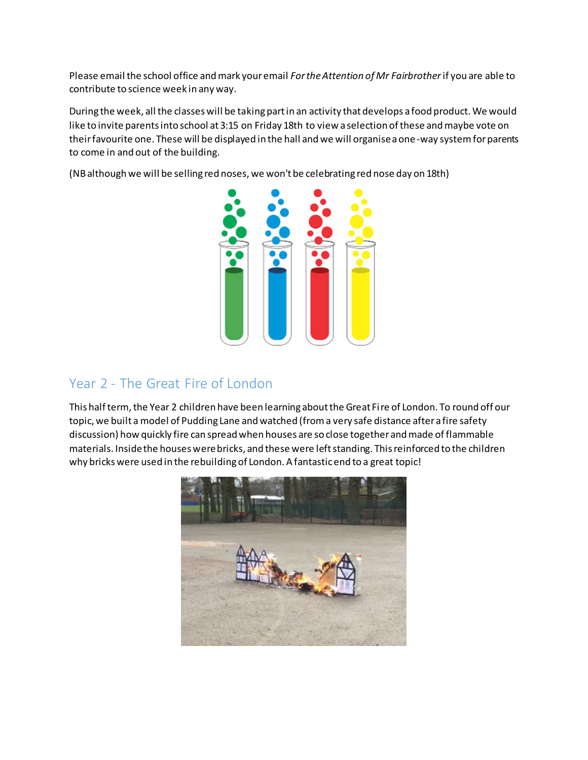Please email the school office and mark your email *For the Attention of Mr Fairbrother*if you are able to contribute to science week in any way.

During the week, all the classes will be taking part in an activity that develops a food product. We would like to invite parents into school at 3:15 on Friday 18th to view a selection of these and maybe vote on their favourite one. These will be displayed in the hall and we will organise a one-way system for parents to come in and out of the building.

(NB although we will be selling red noses, we won't be celebrating red nose day on 18th)



#### Year 2 - The Great Fire of London

This half term, the Year 2 children have been learning about the Great Fire of London. To round off our topic, we built a model of Pudding Lane and watched (from a very safe distance after a fire safety discussion) how quickly fire can spread when houses are so close together and made of flammable materials. Inside the houses were bricks, and these were left standing. This reinforced to the children why bricks were used in the rebuilding of London. A fantastic end to a great topic!

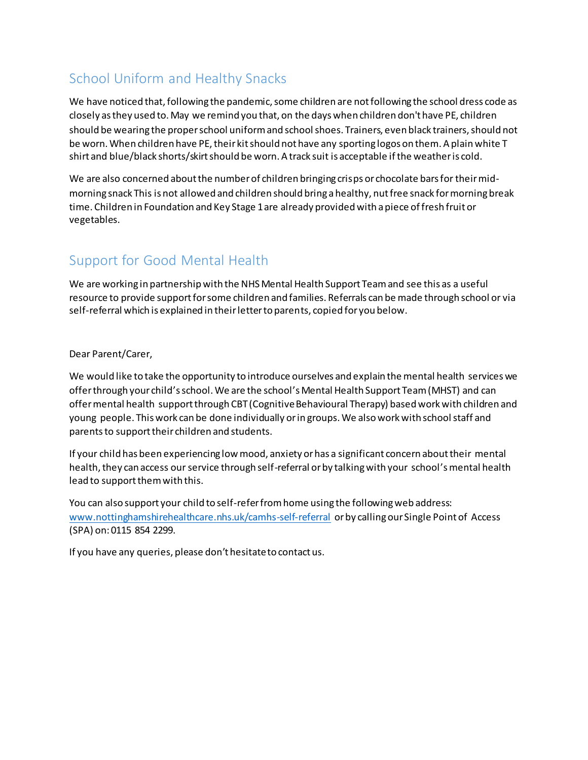## School Uniform and Healthy Snacks

We have noticed that, following the pandemic, some children are not following the school dress code as closely as they used to. May we remind you that, on the days when children don't have PE, children should be wearing the proper school uniform and school shoes. Trainers, even black trainers, should not be worn. When children have PE, their kit should not have any sporting logos on them. A plain white T shirt and blue/black shorts/skirt should be worn. A track suit is acceptable if the weather is cold.

We are also concerned about the number of children bringing crisps or chocolate bars for their midmorning snack This is not allowed and children should bring a healthy, nut free snack for morning break time. Children in Foundation and Key Stage 1 are already provided with a piece of fresh fruit or vegetables.

## Support for Good Mental Health

We are working in partnership with the NHS Mental Health Support Team and see this as a useful resource to provide support for some children and families. Referrals can be made through school or via self-referral which is explained in their letter to parents, copied for you below.

Dear Parent/Carer,

We would like to take the opportunity to introduce ourselves and explain the mental health services we offer through your child's school. We are the school's Mental Health Support Team (MHST) and can offer mental health support through CBT (Cognitive Behavioural Therapy) based work with children and young people. This work can be done individually or in groups. We also work with school staff and parents to support their children and students.

If your child has been experiencing low mood, anxiety or has a significant concern about their mental health, they can access our service through self-referral or by talking with your school's mental health lead to support them with this.

You can also support your child to self-refer from home using the following web address: [www.nottinghamshirehealthcare.nhs.uk/camhs-self-referral](https://www.nottinghamshirehealthcare.nhs.uk/camhs-self-referral) or by calling our Single Point of Access (SPA) on: 0115 854 2299.

If you have any queries, please don't hesitate to contact us.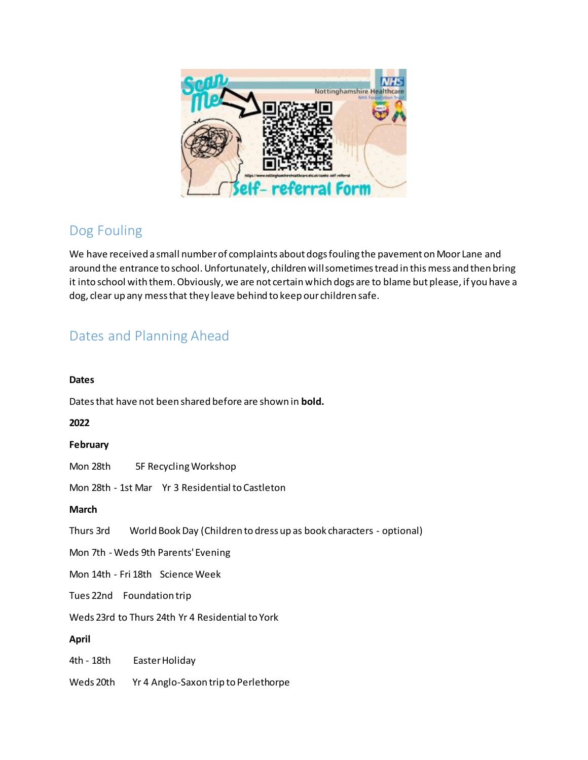

### Dog Fouling

We have received a small number of complaints about dogs fouling the pavement on Moor Lane and around the entrance to school. Unfortunately, children will sometimes tread in this mess and then bring it into school with them. Obviously, we are not certain which dogs are to blame but please, if you have a dog, clear up any mess that they leave behind to keep our children safe.

## Dates and Planning Ahead

| <b>Dates</b>                                                     |                                                                               |  |
|------------------------------------------------------------------|-------------------------------------------------------------------------------|--|
| Dates that have not been shared before are shown in <b>bold.</b> |                                                                               |  |
| 2022                                                             |                                                                               |  |
| February                                                         |                                                                               |  |
|                                                                  | Mon 28th 5F Recycling Workshop                                                |  |
|                                                                  | Mon 28th - 1st Mar Yr 3 Residential to Castleton                              |  |
| March                                                            |                                                                               |  |
|                                                                  | Thurs 3rd World Book Day (Children to dress up as book characters - optional) |  |
| Mon 7th - Weds 9th Parents' Evening                              |                                                                               |  |
|                                                                  | Mon 14th - Fri 18th Science Week                                              |  |
| Tues 22nd Foundation trip                                        |                                                                               |  |
| Weds 23rd to Thurs 24th Yr 4 Residential to York                 |                                                                               |  |
| April                                                            |                                                                               |  |
| 4th - 18th                                                       | Easter Holiday                                                                |  |
|                                                                  | Weds 20th Yr 4 Anglo-Saxon trip to Perlethorpe                                |  |